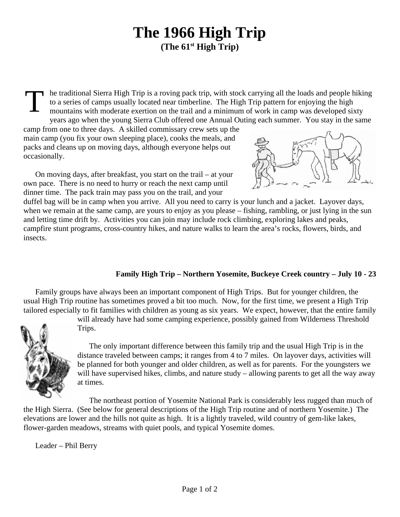## **The 1966 High Trip (The 61st High Trip)**

T he traditional Sierra High Trip is a roving pack trip, with stock carrying all the loads and people hiking to a series of camps usually located near timberline. The High Trip pattern for enjoying the high mountains with moderate exertion on the trail and a minimum of work in camp was developed sixty years ago when the young Sierra Club offered one Annual Outing each summer. You stay in the same

camp from one to three days. A skilled commissary crew sets up the main camp (you fix your own sleeping place), cooks the meals, and packs and cleans up on moving days, although everyone helps out occasionally.



On moving days, after breakfast, you start on the trail – at your own pace. There is no need to hurry or reach the next camp until dinner time. The pack train may pass you on the trail, and your

duffel bag will be in camp when you arrive. All you need to carry is your lunch and a jacket. Layover days, when we remain at the same camp, are yours to enjoy as you please – fishing, rambling, or just lying in the sun and letting time drift by. Activities you can join may include rock climbing, exploring lakes and peaks, campfire stunt programs, cross-country hikes, and nature walks to learn the area's rocks, flowers, birds, and insects.

## **Family High Trip – Northern Yosemite, Buckeye Creek country – July 10 - 23**

Family groups have always been an important component of High Trips. But for younger children, the usual High Trip routine has sometimes proved a bit too much. Now, for the first time, we present a High Trip tailored especially to fit families with children as young as six years. We expect, however, that the entire family will already have had some camping experience, possibly gained from Wilderness Threshold



Trips.

The only important difference between this family trip and the usual High Trip is in the distance traveled between camps; it ranges from 4 to 7 miles. On layover days, activities will be planned for both younger and older children, as well as for parents. For the youngsters we will have supervised hikes, climbs, and nature study – allowing parents to get all the way away at times.

The northeast portion of Yosemite National Park is considerably less rugged than much of the High Sierra. (See below for general descriptions of the High Trip routine and of northern Yosemite.) The elevations are lower and the hills not quite as high. It is a lightly traveled, wild country of gem-like lakes, flower-garden meadows, streams with quiet pools, and typical Yosemite domes.

Leader – Phil Berry